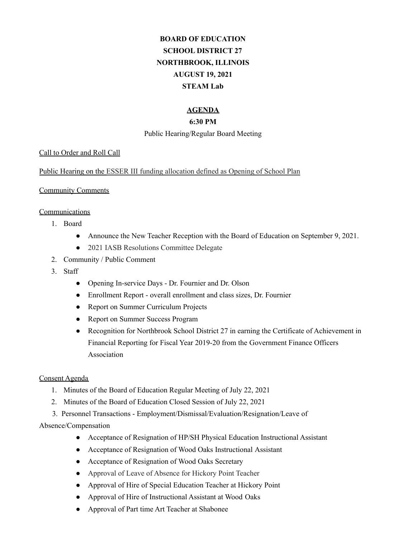# **BOARD OF EDUCATION SCHOOL DISTRICT 27 NORTHBROOK, ILLINOIS AUGUST 19, 2021 STEAM Lab**

# **AGENDA**

#### **6:30 PM**

#### Public Hearing/Regular Board Meeting

#### Call to Order and Roll Call

Public Hearing on the ESSER III funding allocation defined as Opening of School Plan

#### Community Comments

## **Communications**

- 1. Board
	- Announce the New Teacher Reception with the Board of Education on September 9, 2021.
	- 2021 IASB Resolutions Committee Delegate
- 2. Community / Public Comment
- 3. Staff
	- Opening In-service Days Dr. Fournier and Dr. Olson
	- Enrollment Report overall enrollment and class sizes, Dr. Fournier
	- Report on Summer Curriculum Projects
	- Report on Summer Success Program
	- Recognition for Northbrook School District 27 in earning the Certificate of Achievement in Financial Reporting for Fiscal Year 2019-20 from the Government Finance Officers Association

#### Consent Agenda

- 1. Minutes of the Board of Education Regular Meeting of July 22, 2021
- 2. Minutes of the Board of Education Closed Session of July 22, 2021
- 3. Personnel Transactions Employment/Dismissal/Evaluation/Resignation/Leave of

## Absence/Compensation

- Acceptance of Resignation of HP/SH Physical Education Instructional Assistant
- Acceptance of Resignation of Wood Oaks Instructional Assistant
- Acceptance of Resignation of Wood Oaks Secretary
- Approval of Leave of Absence for Hickory Point Teacher
- Approval of Hire of Special Education Teacher at Hickory Point
- Approval of Hire of Instructional Assistant at Wood Oaks
- Approval of Part time Art Teacher at Shabonee